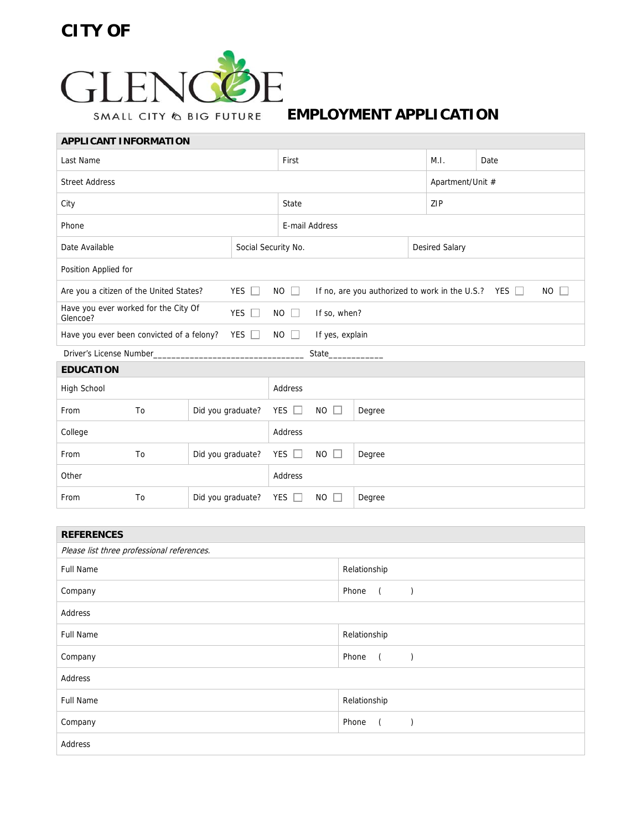## **CITY OF**

 $\overline{\phantom{a}}$ 



**EMPLOYMENT APPLICATION** 

| <b>APPLICANT INFORMATION</b>                                                              |    |                   |                     |                |                                                                        |        |                       |                  |  |
|-------------------------------------------------------------------------------------------|----|-------------------|---------------------|----------------|------------------------------------------------------------------------|--------|-----------------------|------------------|--|
| Last Name                                                                                 |    |                   | First               |                |                                                                        |        | Date                  |                  |  |
| <b>Street Address</b>                                                                     |    |                   |                     |                |                                                                        |        |                       | Apartment/Unit # |  |
| City                                                                                      |    |                   |                     | State          |                                                                        |        |                       | ZIP              |  |
| Phone                                                                                     |    |                   |                     | E-mail Address |                                                                        |        |                       |                  |  |
| Date Available                                                                            |    |                   | Social Security No. |                |                                                                        |        | <b>Desired Salary</b> |                  |  |
| Position Applied for                                                                      |    |                   |                     |                |                                                                        |        |                       |                  |  |
| YES $\Box$<br>Are you a citizen of the United States?                                     |    |                   |                     | $NO$ $\Box$    | <b>NO</b><br>If no, are you authorized to work in the U.S.? YES $\Box$ |        |                       |                  |  |
| Have you ever worked for the City Of<br>YES $\Box$<br>Glencoe?                            |    |                   |                     | $NO$ $\Box$    | If so, when?                                                           |        |                       |                  |  |
| If yes, explain<br>Have you ever been convicted of a felony?<br>YES $\Box$<br>$NO$ $\Box$ |    |                   |                     |                |                                                                        |        |                       |                  |  |
| Driver's License Number<br>State                                                          |    |                   |                     |                |                                                                        |        |                       |                  |  |
| <b>EDUCATION</b>                                                                          |    |                   |                     |                |                                                                        |        |                       |                  |  |
| High School                                                                               |    |                   | Address             |                |                                                                        |        |                       |                  |  |
| From                                                                                      | To | Did you graduate? |                     | YES $\Box$     | $NO$ $\Box$                                                            | Degree |                       |                  |  |
| College                                                                                   |    |                   |                     | Address        |                                                                        |        |                       |                  |  |
| From                                                                                      | To | Did you graduate? |                     | YES $\Box$     | $NO$ $\Box$                                                            | Degree |                       |                  |  |
| Other                                                                                     |    |                   | Address             |                |                                                                        |        |                       |                  |  |
| From                                                                                      | To | Did you graduate? |                     | YES $\Box$     | $NO$ $\Box$<br>Degree                                                  |        |                       |                  |  |
|                                                                                           |    |                   |                     |                |                                                                        |        |                       |                  |  |
| $- - - - - - - - - -$                                                                     |    |                   |                     |                |                                                                        |        |                       |                  |  |

| <b>REFERENCES</b>                          |                                          |  |  |  |  |
|--------------------------------------------|------------------------------------------|--|--|--|--|
| Please list three professional references. |                                          |  |  |  |  |
| <b>Full Name</b>                           | Relationship                             |  |  |  |  |
| Company                                    | Phone<br>$\overline{a}$                  |  |  |  |  |
| Address                                    |                                          |  |  |  |  |
| <b>Full Name</b>                           | Relationship                             |  |  |  |  |
| Company                                    | Phone<br>$\overline{a}$<br>$\rightarrow$ |  |  |  |  |
| Address                                    |                                          |  |  |  |  |
| <b>Full Name</b>                           | Relationship                             |  |  |  |  |
| Company                                    | Phone<br>$\overline{a}$                  |  |  |  |  |
| Address                                    |                                          |  |  |  |  |
|                                            |                                          |  |  |  |  |